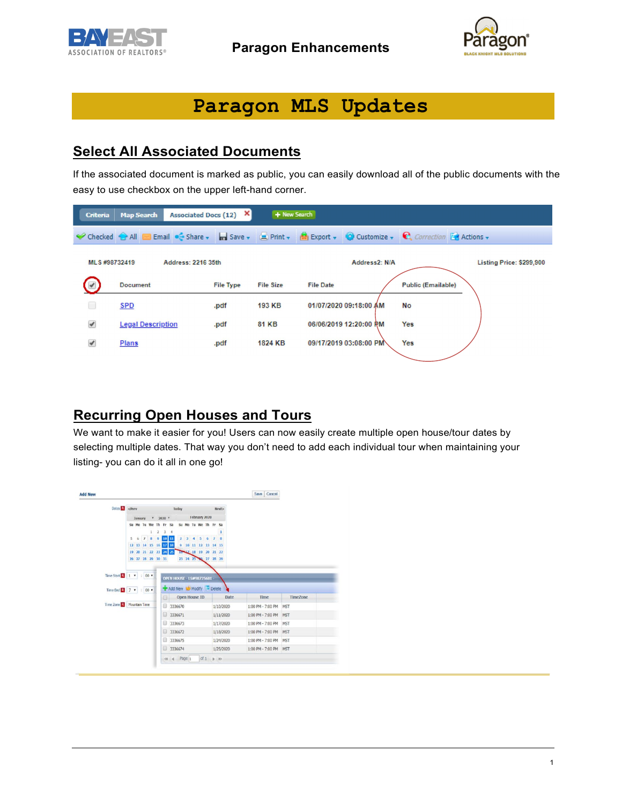



# **Paragon MLS Updates**

### **Select All Associated Documents**

If the associated document is marked as public, you can easily download all of the public documents with the easy to use checkbox on the upper left-hand corner.

| <b>Criteria</b>          | Associated Docs (12)<br><b>Map Search</b> | ×                | + New Search     |                                                                                             |                           |
|--------------------------|-------------------------------------------|------------------|------------------|---------------------------------------------------------------------------------------------|---------------------------|
|                          | Checked All Email C Share v El Save v     |                  |                  | <b>Print + M</b> Export + <b>Q</b> Customize + <b>C</b> , Correction <b>&amp;</b> Actions + |                           |
| MLS #98732419            | Address: 2216 35th                        |                  |                  | Address2: N/A                                                                               | Listing Price: \$299,900  |
| $\overline{\mathscr{L}}$ | <b>Document</b>                           | <b>File Type</b> | <b>File Size</b> | <b>File Date</b>                                                                            | <b>Public (Emailable)</b> |
| ⊟                        | <b>SPD</b>                                | .pdf             | 193 KB           | 01/07/2020 09:18:00 AM                                                                      | No                        |
| ✔                        | <b>Legal Description</b>                  | .pdf             | <b>81 KB</b>     | 06/06/2019 12:20:00 PM                                                                      | <b>Yes</b>                |
| $\overline{\mathscr{L}}$ | <b>Plans</b>                              | .pdf             | 1824 KB          | 09/17/2019 03:08:00 PM                                                                      | Yes                       |

#### **Recurring Open Houses and Tours**

We want to make it easier for you! Users can now easily create multiple open house/tour dates by selecting multiple dates. That way you don't need to add each individual tour when maintaining your listing- you can do it all in one go!

| Dates $R$ <prev< th=""><th colspan="4"></th><th></th><th colspan="5">Today</th><th></th><th></th><th>Next&gt;</th><th></th><th></th><th></th></prev<> |         |          |                                        |     |    | Today |                            |                |   |                |   |                                           | Next>        |                   |      |                 |
|-------------------------------------------------------------------------------------------------------------------------------------------------------|---------|----------|----------------------------------------|-----|----|-------|----------------------------|----------------|---|----------------|---|-------------------------------------------|--------------|-------------------|------|-----------------|
|                                                                                                                                                       | January |          | $*$ 2020 *                             |     |    |       | February 2020              |                |   |                |   |                                           |              |                   |      |                 |
|                                                                                                                                                       |         | Su Mo Tu |                                        | We  | Th | Fr.   | Sa                         | Su             |   |                |   | Mo Tu We Th Fr Sa                         |              |                   |      |                 |
|                                                                                                                                                       |         |          |                                        |     | 2  | 3     | $\overline{4}$             |                |   |                |   |                                           | 1            |                   |      |                 |
|                                                                                                                                                       | 5       | 6        | $\mathcal{I}$                          | 8 9 |    |       | $10$ 11                    | $\mathbf{z}$   | а | $\overline{4}$ | 5 | 6<br>$\mathbf{z}$                         | $\mathbf{B}$ |                   |      |                 |
|                                                                                                                                                       |         |          | 12 13 14 15 16 17 18<br>19 20 21 22 23 |     |    | 24 25 |                            | $\overline{9}$ |   |                |   | 10 11 12 13 14 15<br>10 12 18 19 20 21 22 |              |                   |      |                 |
|                                                                                                                                                       |         |          | 26 27 28 29 30 31                      |     |    |       |                            |                |   |                |   | 23 24 25 34 27 28 29                      |              |                   |      |                 |
|                                                                                                                                                       |         |          |                                        |     |    |       |                            |                |   |                |   |                                           |              |                   |      |                 |
|                                                                                                                                                       |         |          |                                        |     |    |       |                            |                |   |                |   |                                           |              |                   |      |                 |
| Time Start $\begin{array}{ c c c c c }\n\hline\n\end{array}$ Time Start $\begin{array}{ c c c c c }\n\hline\n\end{array}$                             |         |          | $00*$<br>$100$ $\tau$                  |     |    |       | OPEN HOUSE - LS#98725681 - |                |   |                |   | Add New W. Modify - Delete                |              |                   |      |                 |
|                                                                                                                                                       |         |          |                                        |     |    | 8     |                            | Open House ID  |   |                |   |                                           | Date         |                   | Time | <b>TimeZone</b> |
| Time Zone R Mountain Time                                                                                                                             |         |          |                                        |     |    | 6     |                            | 3336670        |   |                |   |                                           | 1/10/2020    | 1:00 PM - 7:00 PM |      | MST             |
|                                                                                                                                                       |         |          |                                        |     |    | 0     |                            | 3336671        |   |                |   |                                           | 1/11/2020    | 1:00 PM - 7:00 PM |      | <b>MST</b>      |
|                                                                                                                                                       |         |          |                                        |     |    | ⊟     |                            | 3336673        |   |                |   |                                           | 1/17/2020    | 1:00 PM - 7:00 PM |      | MST             |
|                                                                                                                                                       |         |          |                                        |     |    | Θ     | 3336672                    |                |   |                |   |                                           | 1/18/2020    | 1:00 PM - 7:00 PM |      | MST             |
|                                                                                                                                                       |         |          |                                        |     |    | Θ     | 3336675                    |                |   |                |   |                                           | 1/24/2020    | 1:00 PM - 7:00 PM |      | MST             |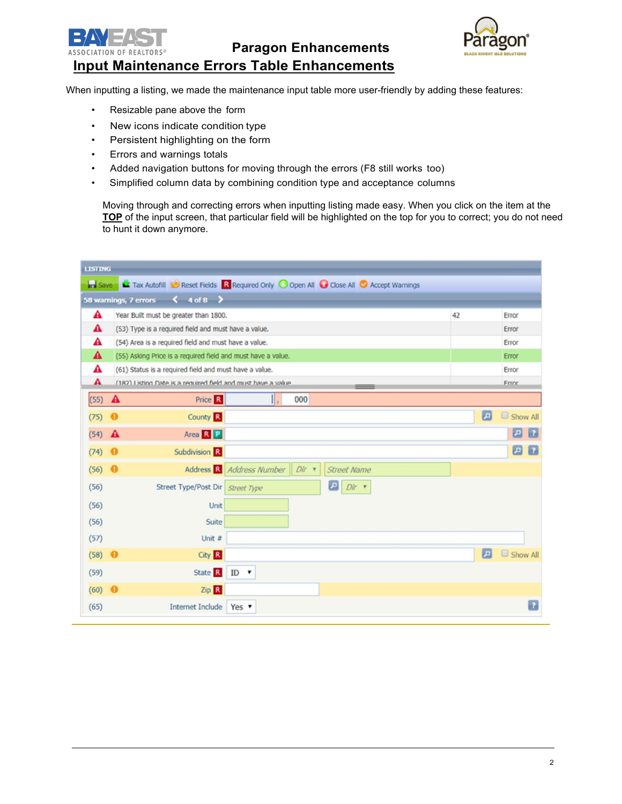

**Paragon Enhancements**



#### **Input Maintenance Errors Table Enhancements**

When inputting a listing, we made the maintenance input table more user-friendly by adding these features:

- Resizable pane above the form
- New icons indicate condition type
- Persistent highlighting on the form
- Errors and warnings totals
- Added navigation buttons for moving through the errors (F8 still works too)
- Simplified column data by combining condition type and acceptance columns

Moving through and correcting errors when inputting listing made easy. When you click on the item at the **TOP** of the input screen, that particular field will be highlighted on the top for you to correct; you do not need to hunt it down anymore.

| <b>LISTING</b>                    |                                                                                        |                                                                                     |    |                              |  |  |  |  |  |  |
|-----------------------------------|----------------------------------------------------------------------------------------|-------------------------------------------------------------------------------------|----|------------------------------|--|--|--|--|--|--|
| <b>In Save</b>                    |                                                                                        | Tax Autofill Consect Fields R Required Only O Open All Colose All C Accept Warnings |    |                              |  |  |  |  |  |  |
|                                   | 58 warnings, 7 errors $\left\langle \right\rangle$ 4 of 8 $\left\langle \right\rangle$ |                                                                                     |    |                              |  |  |  |  |  |  |
| A                                 | Year Built must be greater than 1800.                                                  |                                                                                     | 42 | Error                        |  |  |  |  |  |  |
| A                                 |                                                                                        | (53) Type is a required field and must have a value.                                |    |                              |  |  |  |  |  |  |
| А                                 |                                                                                        | (54) Area is a required field and must have a value.                                |    |                              |  |  |  |  |  |  |
| A                                 |                                                                                        | (55) Asking Price is a required field and must have a value.                        |    |                              |  |  |  |  |  |  |
| A                                 |                                                                                        | (61) Status is a required field and must have a value.                              |    |                              |  |  |  |  |  |  |
| A                                 |                                                                                        | (182) Listing Date is a required field and must have a value.                       |    | <b>Frror</b>                 |  |  |  |  |  |  |
| $(55)$ $\mathbf{\mathbf{\Delta}}$ |                                                                                        | ΙΙ,<br>Price R<br>000                                                               |    |                              |  |  |  |  |  |  |
| (75)                              | $\bullet$                                                                              | County <sup>R</sup>                                                                 |    | $\vert$ $\Omega$<br>Show All |  |  |  |  |  |  |
| (54)                              | A                                                                                      | Area R P                                                                            |    | $\vert P \vert$<br>$\vert$ ? |  |  |  |  |  |  |
| (74)                              | Subdivision R<br>$\bullet$                                                             |                                                                                     |    | $\Box$<br>$\vert$ ?          |  |  |  |  |  |  |
| (56)                              | $\bullet$                                                                              | Address R Address Number<br>$Dir$ $\tau$<br><b>Street Name</b>                      |    |                              |  |  |  |  |  |  |
| (56)                              |                                                                                        | $\n  Dir \rightarrow$<br>Street Type/Post Dir Street Type                           |    |                              |  |  |  |  |  |  |
| (56)                              |                                                                                        | Unit                                                                                |    |                              |  |  |  |  |  |  |
| (56)                              |                                                                                        | Suite                                                                               |    |                              |  |  |  |  |  |  |
| (57)                              |                                                                                        | Unit #                                                                              |    |                              |  |  |  |  |  |  |
| (58)                              | $\boldsymbol{\Theta}$                                                                  | City <sup>R</sup>                                                                   |    | $\vert x \vert$<br>Show All  |  |  |  |  |  |  |
| (59)                              |                                                                                        | State R<br>$ID \rightarrow$                                                         |    |                              |  |  |  |  |  |  |
| (60)                              | $\bullet$                                                                              | Zip R                                                                               |    |                              |  |  |  |  |  |  |
| (65)                              | <b>Internet Include</b>                                                                | Yes v                                                                               |    | $\overline{?}$               |  |  |  |  |  |  |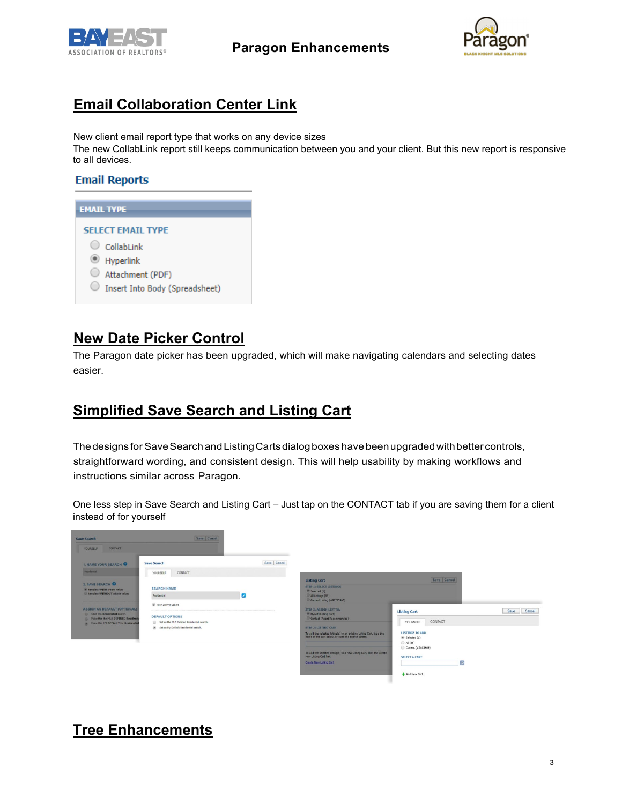



# **Email Collaboration Center Link**

New client email report type that works on any device sizes

The new CollabLink report still keeps communication between you and your client. But this new report is responsive to all devices.

#### **Email Reports**

| <b>EMAIL TYPE</b>                                                        |
|--------------------------------------------------------------------------|
| <b>SELECT EMAIL TYPE</b><br>CollabI ink<br>Hyperlink<br>Attachment (PDF) |
| Insert Into Body (Spreadsheet)                                           |

## **New Date Picker Control**

The Paragon date picker has been upgraded, which will make navigating calendars and selecting dates easier.

#### **Simplified Save Search and Listing Cart**

Thedesigns for SaveSearchandListingCartsdialogboxes havebeenupgradedwithbettercontrols, straightforward wording, and consistent design. This will help usability by making workflows and instructions similar across Paragon.

One less step in Save Search and Listing Cart – Just tap on the CONTACT tab if you are saving them for a client instead of for yourself



# **Tree Enhancements**